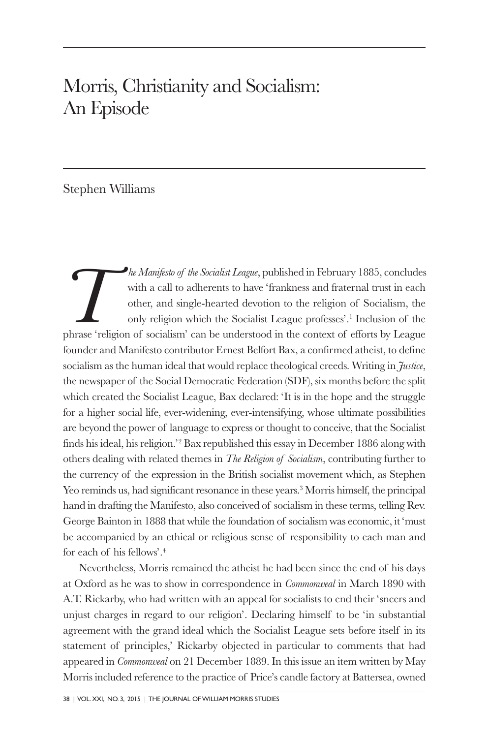## Morris, Christianity and Socialism: An Episode

## Stephen Williams

*The Manifesto of the Socialist League*, published in February 1885, concludes with a call to adherents to have 'frankness and fraternal trust in each other, and single-hearted devotion to the religion of Socialism, the on with a call to adherents to have 'frankness and fraternal trust in each other, and single-hearted devotion to the religion of Socialism, the only religion which the Socialist League professes'.1 Inclusion of the founder and Manifesto contributor Ernest Belfort Bax, a confirmed atheist, to define socialism as the human ideal that would replace theological creeds. Writing in *Justice*, the newspaper of the Social Democratic Federation (SDF), six months before the split which created the Socialist League, Bax declared: 'It is in the hope and the struggle for a higher social life, ever-widening, ever-intensifying, whose ultimate possibilities are beyond the power of language to express or thought to conceive, that the Socialist finds his ideal, his religion.'2 Bax republished this essay in December 1886 along with others dealing with related themes in *The Religion of Socialism*, contributing further to the currency of the expression in the British socialist movement which, as Stephen Yeo reminds us, had significant resonance in these years.<sup>3</sup> Morris himself, the principal hand in drafting the Manifesto, also conceived of socialism in these terms, telling Rev. George Bainton in 1888 that while the foundation of socialism was economic, it 'must be accompanied by an ethical or religious sense of responsibility to each man and for each of his fellows'.4

Nevertheless, Morris remained the atheist he had been since the end of his days at Oxford as he was to show in correspondence in *Commonweal* in March 1890 with A.T. Rickarby, who had written with an appeal for socialists to end their 'sneers and unjust charges in regard to our religion'. Declaring himself to be 'in substantial agreement with the grand ideal which the Socialist League sets before itself in its statement of principles,' Rickarby objected in particular to comments that had appeared in *Commonweal* on 21 December 1889. In this issue an item written by May Morris included reference to the practice of Price's candle factory at Battersea, owned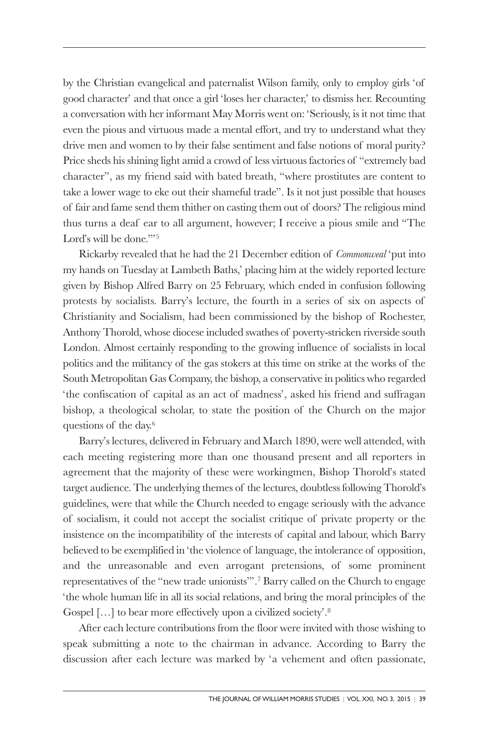by the Christian evangelical and paternalist Wilson family, only to employ girls 'of good character' and that once a girl 'loses her character,' to dismiss her. Recounting a conversation with her informant May Morris went on: 'Seriously, is it not time that even the pious and virtuous made a mental effort, and try to understand what they drive men and women to by their false sentiment and false notions of moral purity? Price sheds his shining light amid a crowd of less virtuous factories of "extremely bad character", as my friend said with bated breath, "where prostitutes are content to take a lower wage to eke out their shameful trade". Is it not just possible that houses of fair and fame send them thither on casting them out of doors? The religious mind thus turns a deaf ear to all argument, however; I receive a pious smile and "The Lord's will be done."<sup>5</sup>

Rickarby revealed that he had the 21 December edition of *Commonweal* 'put into my hands on Tuesday at Lambeth Baths,' placing him at the widely reported lecture given by Bishop Alfred Barry on 25 February, which ended in confusion following protests by socialists. Barry's lecture, the fourth in a series of six on aspects of Christianity and Socialism, had been commissioned by the bishop of Rochester, Anthony Thorold, whose diocese included swathes of poverty-stricken riverside south London. Almost certainly responding to the growing influence of socialists in local politics and the militancy of the gas stokers at this time on strike at the works of the South Metropolitan Gas Company, the bishop, a conservative in politics who regarded 'the confiscation of capital as an act of madness', asked his friend and suffragan bishop, a theological scholar, to state the position of the Church on the major questions of the day.6

Barry's lectures, delivered in February and March 1890, were well attended, with each meeting registering more than one thousand present and all reporters in agreement that the majority of these were workingmen, Bishop Thorold's stated target audience. The underlying themes of the lectures, doubtless following Thorold's guidelines, were that while the Church needed to engage seriously with the advance of socialism, it could not accept the socialist critique of private property or the insistence on the incompatibility of the interests of capital and labour, which Barry believed to be exemplified in 'the violence of language, the intolerance of opposition, and the unreasonable and even arrogant pretensions, of some prominent representatives of the "new trade unionists"'.7 Barry called on the Church to engage 'the whole human life in all its social relations, and bring the moral principles of the Gospel [...] to bear more effectively upon a civilized society'.<sup>8</sup>

After each lecture contributions from the floor were invited with those wishing to speak submitting a note to the chairman in advance. According to Barry the discussion after each lecture was marked by 'a vehement and often passionate,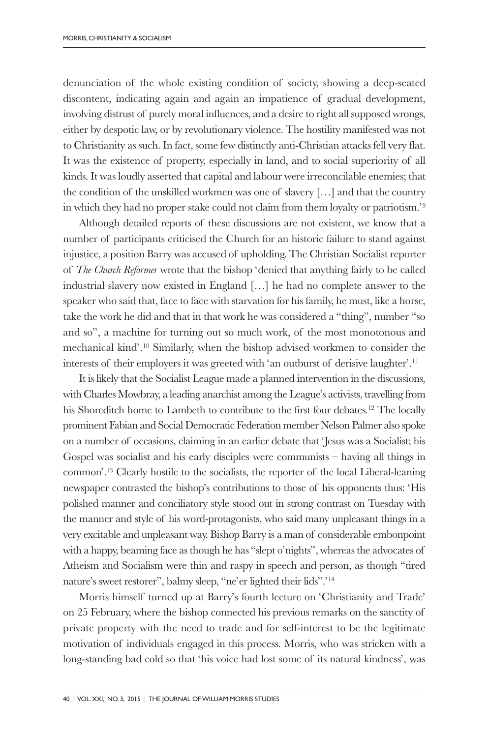denunciation of the whole existing condition of society, showing a deep-seated discontent, indicating again and again an impatience of gradual development, involving distrust of purely moral influences, and a desire to right all supposed wrongs, either by despotic law, or by revolutionary violence. The hostility manifested was not to Christianity as such. In fact, some few distinctly anti-Christian attacks fell very flat. It was the existence of property, especially in land, and to social superiority of all kinds. It was loudly asserted that capital and labour were irreconcilable enemies; that the condition of the unskilled workmen was one of slavery  $[\,\ldots]$  and that the country in which they had no proper stake could not claim from them loyalty or patriotism.'9

Although detailed reports of these discussions are not existent, we know that a number of participants criticised the Church for an historic failure to stand against injustice, a position Barry was accused of upholding. The Christian Socialist reporter of *The Church Reformer* wrote that the bishop 'denied that anything fairly to be called industrial slavery now existed in England […] he had no complete answer to the speaker who said that, face to face with starvation for his family, he must, like a horse, take the work he did and that in that work he was considered a "thing", number "so and so", a machine for turning out so much work, of the most monotonous and mechanical kind'.10 Similarly, when the bishop advised workmen to consider the interests of their employers it was greeted with 'an outburst of derisive laughter'.11

It is likely that the Socialist League made a planned intervention in the discussions, with Charles Mowbray, a leading anarchist among the League's activists, travelling from his Shoreditch home to Lambeth to contribute to the first four debates.12 The locally prominent Fabian and Social Democratic Federation member Nelson Palmer also spoke on a number of occasions, claiming in an earlier debate that 'Jesus was a Socialist; his Gospel was socialist and his early disciples were communists – having all things in common'.13 Clearly hostile to the socialists, the reporter of the local Liberal-leaning newspaper contrasted the bishop's contributions to those of his opponents thus: 'His polished manner and conciliatory style stood out in strong contrast on Tuesday with the manner and style of his word-protagonists, who said many unpleasant things in a very excitable and unpleasant way. Bishop Barry is a man of considerable embonpoint with a happy, beaming face as though he has "slept o'nights", whereas the advocates of Atheism and Socialism were thin and raspy in speech and person, as though "tired nature's sweet restorer", balmy sleep, "ne'er lighted their lids".'14

Morris himself turned up at Barry's fourth lecture on 'Christianity and Trade' on 25 February, where the bishop connected his previous remarks on the sanctity of private property with the need to trade and for self-interest to be the legitimate motivation of individuals engaged in this process. Morris, who was stricken with a long-standing bad cold so that 'his voice had lost some of its natural kindness', was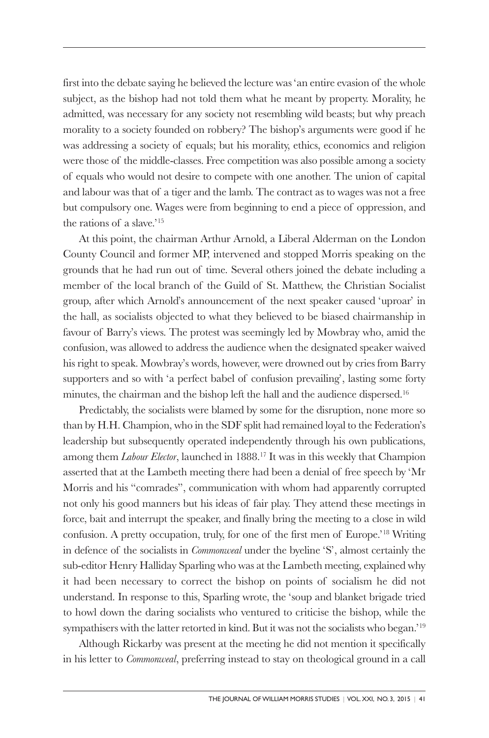first into the debate saying he believed the lecture was 'an entire evasion of the whole subject, as the bishop had not told them what he meant by property. Morality, he admitted, was necessary for any society not resembling wild beasts; but why preach morality to a society founded on robbery? The bishop's arguments were good if he was addressing a society of equals; but his morality, ethics, economics and religion were those of the middle-classes. Free competition was also possible among a society of equals who would not desire to compete with one another. The union of capital and labour was that of a tiger and the lamb. The contract as to wages was not a free but compulsory one. Wages were from beginning to end a piece of oppression, and the rations of a slave.'15

At this point, the chairman Arthur Arnold, a Liberal Alderman on the London County Council and former MP, intervened and stopped Morris speaking on the grounds that he had run out of time. Several others joined the debate including a member of the local branch of the Guild of St. Matthew, the Christian Socialist group, after which Arnold's announcement of the next speaker caused 'uproar' in the hall, as socialists objected to what they believed to be biased chairmanship in favour of Barry's views. The protest was seemingly led by Mowbray who, amid the confusion, was allowed to address the audience when the designated speaker waived his right to speak. Mowbray's words, however, were drowned out by cries from Barry supporters and so with 'a perfect babel of confusion prevailing', lasting some forty minutes, the chairman and the bishop left the hall and the audience dispersed.16

Predictably, the socialists were blamed by some for the disruption, none more so than by H.H. Champion, who in the SDF split had remained loyal to the Federation's leadership but subsequently operated independently through his own publications, among them *Labour Elector*, launched in 1888.17 It was in this weekly that Champion asserted that at the Lambeth meeting there had been a denial of free speech by 'Mr Morris and his "comrades", communication with whom had apparently corrupted not only his good manners but his ideas of fair play. They attend these meetings in force, bait and interrupt the speaker, and finally bring the meeting to a close in wild confusion. A pretty occupation, truly, for one of the first men of Europe.'18 Writing in defence of the socialists in *Commonweal* under the byeline 'S', almost certainly the sub-editor Henry Halliday Sparling who was at the Lambeth meeting, explained why it had been necessary to correct the bishop on points of socialism he did not understand. In response to this, Sparling wrote, the 'soup and blanket brigade tried to howl down the daring socialists who ventured to criticise the bishop, while the sympathisers with the latter retorted in kind. But it was not the socialists who began.'<sup>19</sup>

Although Rickarby was present at the meeting he did not mention it specifically in his letter to *Commonweal*, preferring instead to stay on theological ground in a call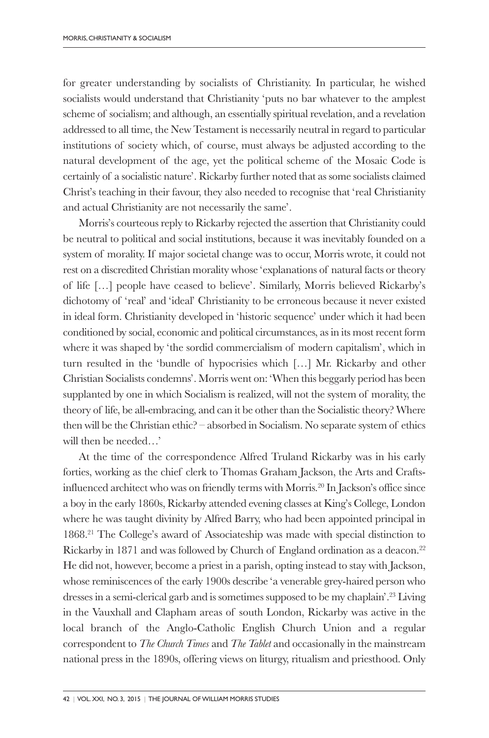for greater understanding by socialists of Christianity. In particular, he wished socialists would understand that Christianity 'puts no bar whatever to the amplest scheme of socialism; and although, an essentially spiritual revelation, and a revelation addressed to all time, the New Testament is necessarily neutral in regard to particular institutions of society which, of course, must always be adjusted according to the natural development of the age, yet the political scheme of the Mosaic Code is certainly of a socialistic nature'. Rickarby further noted that as some socialists claimed Christ's teaching in their favour, they also needed to recognise that 'real Christianity and actual Christianity are not necessarily the same'.

Morris's courteous reply to Rickarby rejected the assertion that Christianity could be neutral to political and social institutions, because it was inevitably founded on a system of morality. If major societal change was to occur, Morris wrote, it could not rest on a discredited Christian morality whose 'explanations of natural facts or theory of life […] people have ceased to believe'. Similarly, Morris believed Rickarby's dichotomy of 'real' and 'ideal' Christianity to be erroneous because it never existed in ideal form. Christianity developed in 'historic sequence' under which it had been conditioned by social, economic and political circumstances, as in its most recent form where it was shaped by 'the sordid commercialism of modern capitalism', which in turn resulted in the 'bundle of hypocrisies which […] Mr. Rickarby and other Christian Socialists condemns'. Morris went on: 'When this beggarly period has been supplanted by one in which Socialism is realized, will not the system of morality, the theory of life, be all-embracing, and can it be other than the Socialistic theory? Where then will be the Christian ethic? – absorbed in Socialism. No separate system of ethics will then be needed…'

At the time of the correspondence Alfred Truland Rickarby was in his early forties, working as the chief clerk to Thomas Graham Jackson, the Arts and Craftsinfluenced architect who was on friendly terms with Morris.20 In Jackson's office since a boy in the early 1860s, Rickarby attended evening classes at King's College, London where he was taught divinity by Alfred Barry, who had been appointed principal in 1868.21 The College's award of Associateship was made with special distinction to Rickarby in 1871 and was followed by Church of England ordination as a deacon.<sup>22</sup> He did not, however, become a priest in a parish, opting instead to stay with Jackson, whose reminiscences of the early 1900s describe 'a venerable grey-haired person who dresses in a semi-clerical garb and is sometimes supposed to be my chaplain'.23 Living in the Vauxhall and Clapham areas of south London, Rickarby was active in the local branch of the Anglo-Catholic English Church Union and a regular correspondent to *The Church Times* and *The Tablet* and occasionally in the mainstream national press in the 1890s, offering views on liturgy, ritualism and priesthood. Only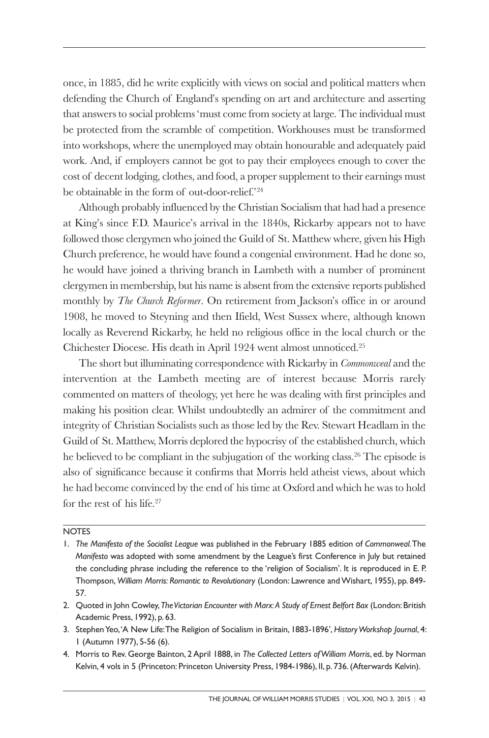once, in 1885, did he write explicitly with views on social and political matters when defending the Church of England's spending on art and architecture and asserting that answers to social problems 'must come from society at large. The individual must be protected from the scramble of competition. Workhouses must be transformed into workshops, where the unemployed may obtain honourable and adequately paid work. And, if employers cannot be got to pay their employees enough to cover the cost of decent lodging, clothes, and food, a proper supplement to their earnings must be obtainable in the form of out-door-relief.'24

Although probably influenced by the Christian Socialism that had had a presence at King's since F.D. Maurice's arrival in the 1840s, Rickarby appears not to have followed those clergymen who joined the Guild of St. Matthew where, given his High Church preference, he would have found a congenial environment. Had he done so, he would have joined a thriving branch in Lambeth with a number of prominent clergymen in membership, but his name is absent from the extensive reports published monthly by *The Church Reformer*. On retirement from Jackson's office in or around 1908, he moved to Steyning and then Ifield, West Sussex where, although known locally as Reverend Rickarby, he held no religious office in the local church or the Chichester Diocese. His death in April 1924 went almost unnoticed.25

The short but illuminating correspondence with Rickarby in *Commonweal* and the intervention at the Lambeth meeting are of interest because Morris rarely commented on matters of theology, yet here he was dealing with first principles and making his position clear. Whilst undoubtedly an admirer of the commitment and integrity of Christian Socialists such as those led by the Rev. Stewart Headlam in the Guild of St. Matthew, Morris deplored the hypocrisy of the established church, which he believed to be compliant in the subjugation of the working class.26 The episode is also of significance because it confirms that Morris held atheist views, about which he had become convinced by the end of his time at Oxford and which he was to hold for the rest of his life.<sup>27</sup>

## **NOTES**

- 2. Quoted in John Cowley, *The Victorian Encounter with Marx: A Study of Ernest Belfort Bax* (London: British Academic Press, 1992), p. 63.
- 3. Stephen Yeo, 'A New Life: The Religion of Socialism in Britain, 1883-1896', *History Workshop Journal*, 4: 1 (Autumn 1977), 5-56 (6).
- 4. Morris to Rev. George Bainton, 2 April 1888, in *The Collected Letters of William Morris*, ed. by Norman Kelvin, 4 vols in 5 (Princeton: Princeton University Press, 1984-1986), II, p. 736. (Afterwards Kelvin).

<sup>1.</sup> *The Manifesto of the Socialist League* was published in the February 1885 edition of *Commonweal*. The *Manifesto* was adopted with some amendment by the League's first Conference in July but retained the concluding phrase including the reference to the 'religion of Socialism'. It is reproduced in E. P. Thompson, *William Morris: Romantic to Revolutionary* (London: Lawrence and Wishart, 1955), pp. 849- 57.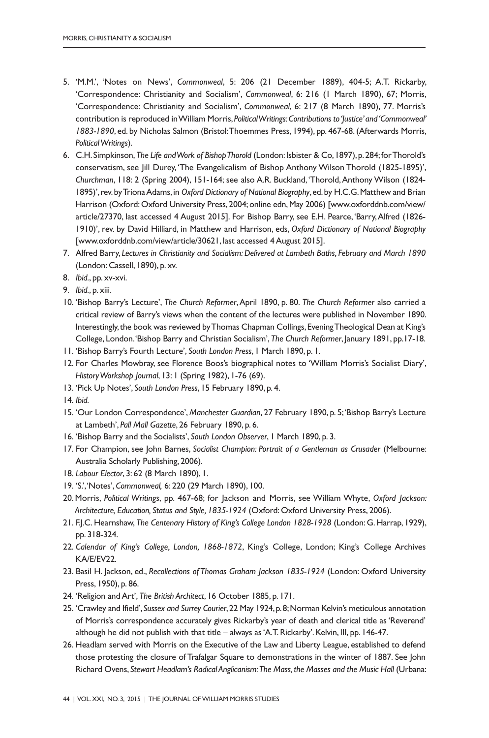- 5. 'M.M.', 'Notes on News', *Commonweal*, 5: 206 (21 December 1889), 404-5; A.T. Rickarby, 'Correspondence: Christianity and Socialism', *Commonweal*, 6: 216 (1 March 1890), 67; Morris, 'Correspondence: Christianity and Socialism', *Commonweal*, 6: 217 (8 March 1890), 77. Morris's contribution is reproduced in William Morris, *Political Writings: Contributions to 'Justice' and 'Commonweal' 1883-1890*, ed. by Nicholas Salmon (Bristol: Thoemmes Press, 1994), pp. 467-68. (Afterwards Morris, *Political Writings*).
- 6. C.H. Simpkinson, *The Life and Work of Bishop Thorold* (London: Isbister & Co, 1897), p. 284; for Thorold's conservatism, see Jill Durey, 'The Evangelicalism of Bishop Anthony Wilson Thorold (1825-1895)', *Churchman*, 118: 2 (Spring 2004), 151-164; see also A.R. Buckland, 'Thorold, Anthony Wilson (1824- 1895)', rev. by Triona Adams, in *Oxford Dictionary of National Biography*, ed. by H.C.G. Matthew and Brian Harrison (Oxford: Oxford University Press, 2004; online edn, May 2006) [www.oxforddnb.com/view/ article/27370, last accessed 4 August 2015]. For Bishop Barry, see E.H. Pearce, 'Barry, Alfred (1826- 1910)', rev. by David Hilliard, in Matthew and Harrison, eds, *Oxford Dictionary of National Biography* [www.oxforddnb.com/view/article/30621, last accessed 4 August 2015].
- 7. Alfred Barry, *Lectures in Christianity and Socialism: Delivered at Lambeth Baths, February and March 1890* (London: Cassell, 1890), p. xv.
- 8. *Ibid.*, pp. xv-xvi.
- 9. *Ibid.*, p. xiii.
- 10. 'Bishop Barry's Lecture', *The Church Reformer*, April 1890, p. 80. *The Church Reformer* also carried a critical review of Barry's views when the content of the lectures were published in November 1890. Interestingly, the book was reviewed by Thomas Chapman Collings, Evening Theological Dean at King's College, London. 'Bishop Barry and Christian Socialism', *The Church Reformer*, January 1891, pp.17-18.
- 11. 'Bishop Barry's Fourth Lecture', *South London Press*, 1 March 1890, p. 1.
- 12. For Charles Mowbray, see Florence Boos's biographical notes to 'William Morris's Socialist Diary', *History Workshop Journal*, 13: 1 (Spring 1982), 1-76 (69).
- 13. 'Pick Up Notes', *South London Press*, 15 February 1890, p. 4.
- 14. *Ibid.*
- 15. 'Our London Correspondence', *Manchester Guardian*, 27 February 1890, p. 5; 'Bishop Barry's Lecture at Lambeth', *Pall Mall Gazette*, 26 February 1890, p. 6.
- 16. 'Bishop Barry and the Socialists', *South London Observer*, 1 March 1890, p. 3.
- 17. For Champion, see John Barnes, *Socialist Champion: Portrait of a Gentleman as Crusader* (Melbourne: Australia Scholarly Publishing, 2006).
- 18. *Labour Elector*, 3: 62 (8 March 1890), 1.
- 19. 'S.', 'Notes', *Commonweal,* 6: 220 (29 March 1890), 100.
- 20. Morris, *Political Writings*, pp. 467-68; for Jackson and Morris, see William Whyte, *Oxford Jackson: Architecture, Education, Status and Style, 1835-1924* (Oxford: Oxford University Press, 2006).
- 21. F.J.C. Hearnshaw, *The Centenary History of King's College London 1828-1928* (London: G. Harrap, 1929), pp. 318-324.
- 22. *Calendar of King's College, London, 1868-1872*, King's College, London; King's College Archives KA/E/EV22.
- 23. Basil H. Jackson, ed., *Recollections of Thomas Graham Jackson 1835-1924* (London: Oxford University Press, 1950), p. 86.
- 24. 'Religion and Art', *The British Architect*, 16 October 1885, p. 171.
- 25. 'Crawley and Ifield', *Sussex and Surrey Courier*, 22 May 1924, p. 8; Norman Kelvin's meticulous annotation of Morris's correspondence accurately gives Rickarby's year of death and clerical title as 'Reverend' although he did not publish with that title – always as 'A.T. Rickarby'. Kelvin, III, pp. 146-47.
- 26. Headlam served with Morris on the Executive of the Law and Liberty League, established to defend those protesting the closure of Trafalgar Square to demonstrations in the winter of 1887. See John Richard Ovens, *Stewart Headlam's Radical Anglicanism:The Mass, the Masses and the Music Hall* (Urbana: